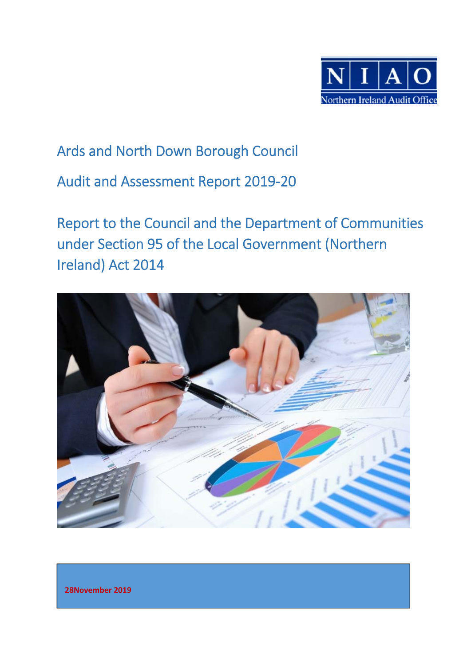

# Ards and North Down Borough Council

Audit and Assessment Report 2019‐20

Report to the Council and the Department of Communities under Section 95 of the Local Government (Northern Ireland) Act 2014



 **28November 2019**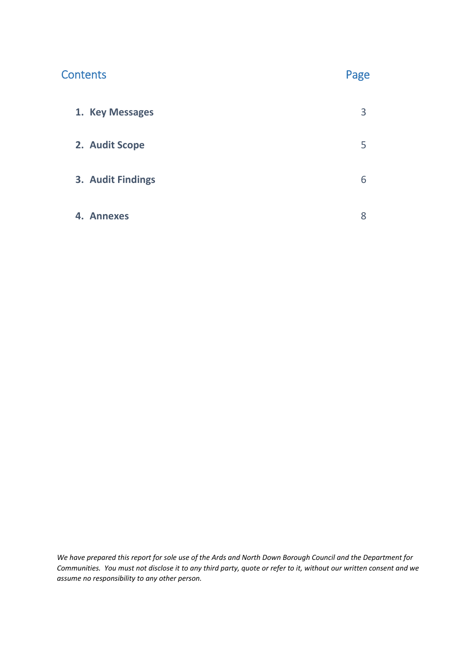| <b>Contents</b>   | Page |
|-------------------|------|
| 1. Key Messages   | 3    |
| 2. Audit Scope    | 5    |
| 3. Audit Findings | 6    |
| 4. Annexes        | 8    |

*We have prepared this report for sole use of the Ards and North Down Borough Council and the Department for Communities. You must not disclose it to any third party, quote or refer to it, without our written consent and we assume no responsibility to any other person.*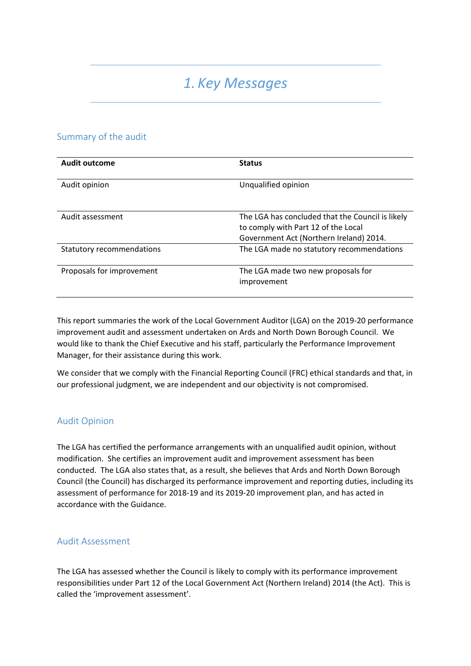# *1. Key Messages*

# Summary of the audit

| <b>Audit outcome</b>             | <b>Status</b>                                                                                                                      |
|----------------------------------|------------------------------------------------------------------------------------------------------------------------------------|
| Audit opinion                    | Unqualified opinion                                                                                                                |
| Audit assessment                 | The LGA has concluded that the Council is likely<br>to comply with Part 12 of the Local<br>Government Act (Northern Ireland) 2014. |
| <b>Statutory recommendations</b> | The LGA made no statutory recommendations                                                                                          |
| Proposals for improvement        | The LGA made two new proposals for<br>improvement                                                                                  |

This report summaries the work of the Local Government Auditor (LGA) on the 2019‐20 performance improvement audit and assessment undertaken on Ards and North Down Borough Council. We would like to thank the Chief Executive and his staff, particularly the Performance Improvement Manager, for their assistance during this work.

We consider that we comply with the Financial Reporting Council (FRC) ethical standards and that, in our professional judgment, we are independent and our objectivity is not compromised.

# Audit Opinion

The LGA has certified the performance arrangements with an unqualified audit opinion, without modification. She certifies an improvement audit and improvement assessment has been conducted. The LGA also states that, as a result, she believes that Ards and North Down Borough Council (the Council) has discharged its performance improvement and reporting duties, including its assessment of performance for 2018‐19 and its 2019‐20 improvement plan, and has acted in accordance with the Guidance.

# Audit Assessment

The LGA has assessed whether the Council is likely to comply with its performance improvement responsibilities under Part 12 of the Local Government Act (Northern Ireland) 2014 (the Act). This is called the 'improvement assessment'.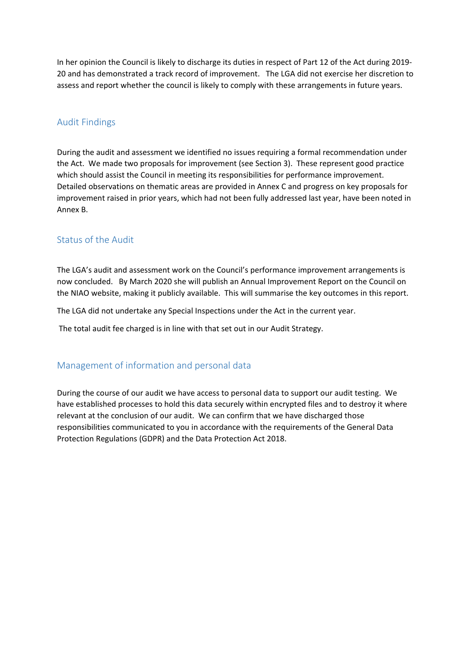In her opinion the Council is likely to discharge its duties in respect of Part 12 of the Act during 2019-20 and has demonstrated a track record of improvement. The LGA did not exercise her discretion to assess and report whether the council is likely to comply with these arrangements in future years.

# Audit Findings

During the audit and assessment we identified no issues requiring a formal recommendation under the Act. We made two proposals for improvement (see Section 3). These represent good practice which should assist the Council in meeting its responsibilities for performance improvement. Detailed observations on thematic areas are provided in Annex C and progress on key proposals for improvement raised in prior years, which had not been fully addressed last year, have been noted in Annex B.

### Status of the Audit

The LGA's audit and assessment work on the Council's performance improvement arrangements is now concluded. By March 2020 she will publish an Annual Improvement Report on the Council on the NIAO website, making it publicly available. This will summarise the key outcomes in this report.

The LGA did not undertake any Special Inspections under the Act in the current year.

The total audit fee charged is in line with that set out in our Audit Strategy.

# Management of information and personal data

During the course of our audit we have access to personal data to support our audit testing. We have established processes to hold this data securely within encrypted files and to destroy it where relevant at the conclusion of our audit. We can confirm that we have discharged those responsibilities communicated to you in accordance with the requirements of the General Data Protection Regulations (GDPR) and the Data Protection Act 2018.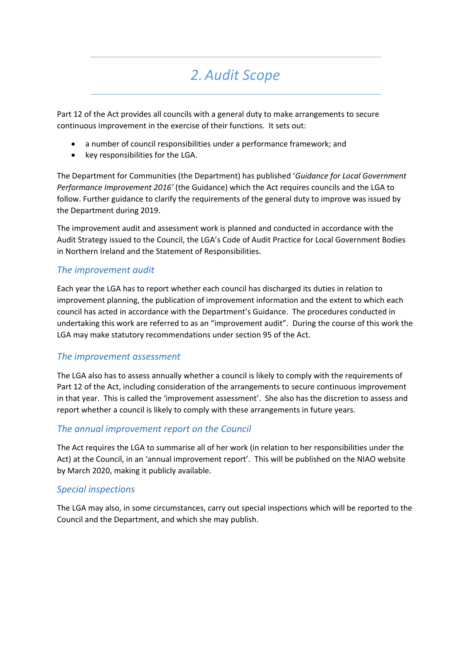# *2.Audit Scope*

Part 12 of the Act provides all councils with a general duty to make arrangements to secure continuous improvement in the exercise of their functions. It sets out:

- a number of council responsibilities under a performance framework; and
- key responsibilities for the LGA.

The Department for Communities (the Department) has published '*Guidance for Local Government Performance Improvement 2016'* (the Guidance) which the Act requires councils and the LGA to follow. Further guidance to clarify the requirements of the general duty to improve was issued by the Department during 2019.

The improvement audit and assessment work is planned and conducted in accordance with the Audit Strategy issued to the Council, the LGA's Code of Audit Practice for Local Government Bodies in Northern Ireland and the Statement of Responsibilities.

### *The improvement audit*

Each year the LGA has to report whether each council has discharged its duties in relation to improvement planning, the publication of improvement information and the extent to which each council has acted in accordance with the Department's Guidance. The procedures conducted in undertaking this work are referred to as an "improvement audit". During the course of this work the LGA may make statutory recommendations under section 95 of the Act.

### *The improvement assessment*

The LGA also has to assess annually whether a council is likely to comply with the requirements of Part 12 of the Act, including consideration of the arrangements to secure continuous improvement in that year. This is called the 'improvement assessment'. She also has the discretion to assess and report whether a council is likely to comply with these arrangements in future years.

# *The annual improvement report on the Council*

The Act requires the LGA to summarise all of her work (in relation to her responsibilities under the Act) at the Council, in an 'annual improvement report'. This will be published on the NIAO website by March 2020, making it publicly available.

### *Special inspections*

The LGA may also, in some circumstances, carry out special inspections which will be reported to the Council and the Department, and which she may publish.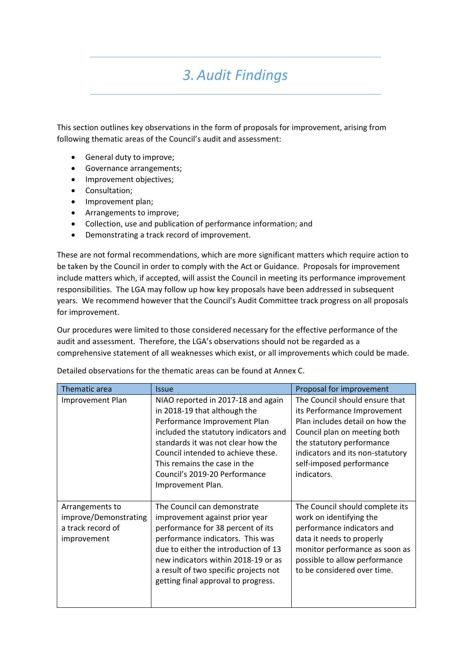# *3.Audit Findings*

This section outlines key observations in the form of proposals for improvement, arising from following thematic areas of the Council's audit and assessment:

- General duty to improve;
- Governance arrangements;
- Improvement objectives:
- Consultation;
- Improvement plan;
- Arrangements to improve;
- Collection, use and publication of performance information; and
- Demonstrating a track record of improvement.

These are not formal recommendations, which are more significant matters which require action to be taken by the Council in order to comply with the Act or Guidance. Proposals for improvement include matters which, if accepted, will assist the Council in meeting its performance improvement responsibilities. The LGA may follow up how key proposals have been addressed in subsequent years. We recommend however that the Council's Audit Committee track progress on all proposals for improvement.

Our procedures were limited to those considered necessary for the effective performance of the audit and assessment. Therefore, the LGA's observations should not be regarded as a comprehensive statement of all weaknesses which exist, or all improvements which could be made.

Thematic area **Internal 2018** Issue **Proposal for improvement** Improvement Plan | NIAO reported in 2017-18 and again in 2018‐19 that although the Performance Improvement Plan included the statutory indicators and standards it was not clear how the Council intended to achieve these. This remains the case in the Council's 2019‐20 Performance Improvement Plan. The Council should ensure that its Performance Improvement Plan includes detail on how the Council plan on meeting both the statutory performance indicators and its non‐statutory self‐imposed performance indicators. Arrangements to improve/Demonstrating a track record of improvement The Council can demonstrate improvement against prior year performance for 38 percent of its performance indicators. This was due to either the introduction of 13 new indicators within 2018‐19 or as a result of two specific projects not getting final approval to progress. The Council should complete its work on identifying the performance indicators and data it needs to properly monitor performance as soon as possible to allow performance to be considered over time.

Detailed observations for the thematic areas can be found at Annex C.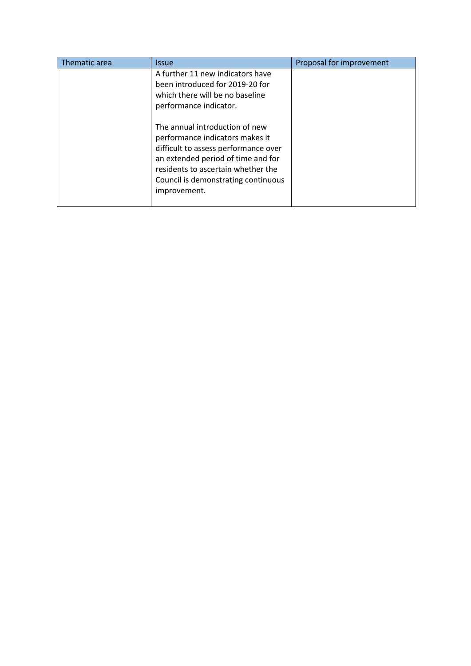| Thematic area | <b>Issue</b>                                                                                                                                                                                                                                 | Proposal for improvement |
|---------------|----------------------------------------------------------------------------------------------------------------------------------------------------------------------------------------------------------------------------------------------|--------------------------|
|               | A further 11 new indicators have<br>been introduced for 2019-20 for<br>which there will be no baseline<br>performance indicator.                                                                                                             |                          |
|               | The annual introduction of new<br>performance indicators makes it<br>difficult to assess performance over<br>an extended period of time and for<br>residents to ascertain whether the<br>Council is demonstrating continuous<br>improvement. |                          |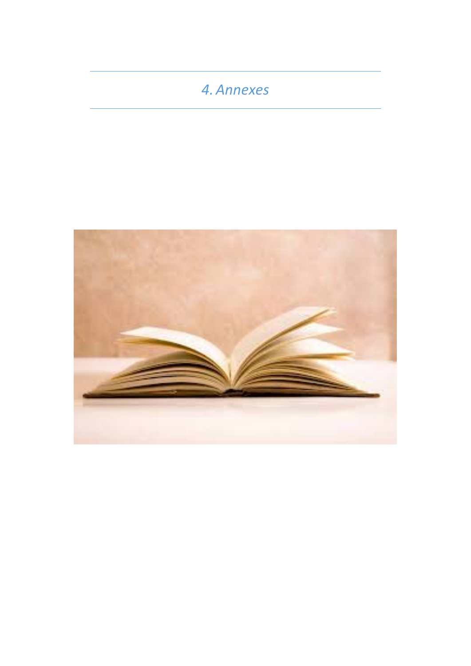# *4.Annexes*

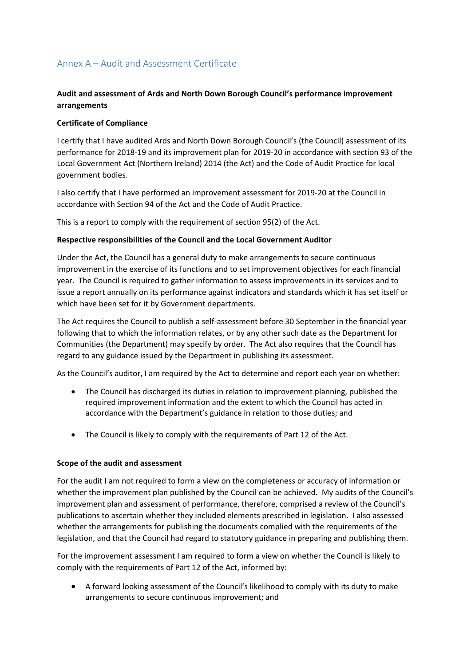# Annex A – Audit and Assessment Certificate

### **Audit and assessment of Ards and North Down Borough Council's performance improvement arrangements**

### **Certificate of Compliance**

I certify that I have audited Ards and North Down Borough Council's (the Council) assessment of its performance for 2018‐19 and its improvement plan for 2019‐20 in accordance with section 93 of the Local Government Act (Northern Ireland) 2014 (the Act) and the Code of Audit Practice for local government bodies.

I also certify that I have performed an improvement assessment for 2019‐20 at the Council in accordance with Section 94 of the Act and the Code of Audit Practice.

This is a report to comply with the requirement of section 95(2) of the Act.

### **Respective responsibilities of the Council and the Local Government Auditor**

Under the Act, the Council has a general duty to make arrangements to secure continuous improvement in the exercise of its functions and to set improvement objectives for each financial year. The Council is required to gather information to assess improvements in its services and to issue a report annually on its performance against indicators and standards which it has set itself or which have been set for it by Government departments.

The Act requires the Council to publish a self‐assessment before 30 September in the financial year following that to which the information relates, or by any other such date as the Department for Communities (the Department) may specify by order. The Act also requires that the Council has regard to any guidance issued by the Department in publishing its assessment.

As the Council's auditor, I am required by the Act to determine and report each year on whether:

- The Council has discharged its duties in relation to improvement planning, published the required improvement information and the extent to which the Council has acted in accordance with the Department's guidance in relation to those duties; and
- The Council is likely to comply with the requirements of Part 12 of the Act.

#### **Scope of the audit and assessment**

For the audit I am not required to form a view on the completeness or accuracy of information or whether the improvement plan published by the Council can be achieved. My audits of the Council's improvement plan and assessment of performance, therefore, comprised a review of the Council's publications to ascertain whether they included elements prescribed in legislation. I also assessed whether the arrangements for publishing the documents complied with the requirements of the legislation, and that the Council had regard to statutory guidance in preparing and publishing them.

For the improvement assessment I am required to form a view on whether the Council is likely to comply with the requirements of Part 12 of the Act, informed by:

 A forward looking assessment of the Council's likelihood to comply with its duty to make arrangements to secure continuous improvement; and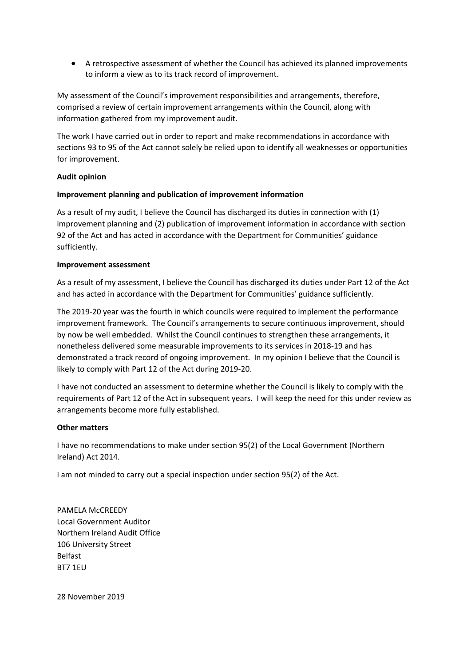A retrospective assessment of whether the Council has achieved its planned improvements to inform a view as to its track record of improvement.

My assessment of the Council's improvement responsibilities and arrangements, therefore, comprised a review of certain improvement arrangements within the Council, along with information gathered from my improvement audit.

The work I have carried out in order to report and make recommendations in accordance with sections 93 to 95 of the Act cannot solely be relied upon to identify all weaknesses or opportunities for improvement.

#### **Audit opinion**

#### **Improvement planning and publication of improvement information**

As a result of my audit, I believe the Council has discharged its duties in connection with (1) improvement planning and (2) publication of improvement information in accordance with section 92 of the Act and has acted in accordance with the Department for Communities' guidance sufficiently.

#### **Improvement assessment**

As a result of my assessment, I believe the Council has discharged its duties under Part 12 of the Act and has acted in accordance with the Department for Communities' guidance sufficiently.

The 2019-20 year was the fourth in which councils were required to implement the performance improvement framework. The Council's arrangements to secure continuous improvement, should by now be well embedded. Whilst the Council continues to strengthen these arrangements, it nonetheless delivered some measurable improvements to its services in 2018‐19 and has demonstrated a track record of ongoing improvement. In my opinion I believe that the Council is likely to comply with Part 12 of the Act during 2019‐20.

I have not conducted an assessment to determine whether the Council is likely to comply with the requirements of Part 12 of the Act in subsequent years. I will keep the need for this under review as arrangements become more fully established.

### **Other matters**

I have no recommendations to make under section 95(2) of the Local Government (Northern Ireland) Act 2014.

I am not minded to carry out a special inspection under section 95(2) of the Act.

PAMELA McCREEDY Local Government Auditor Northern Ireland Audit Office 106 University Street Belfast BT7 1EU

28 November 2019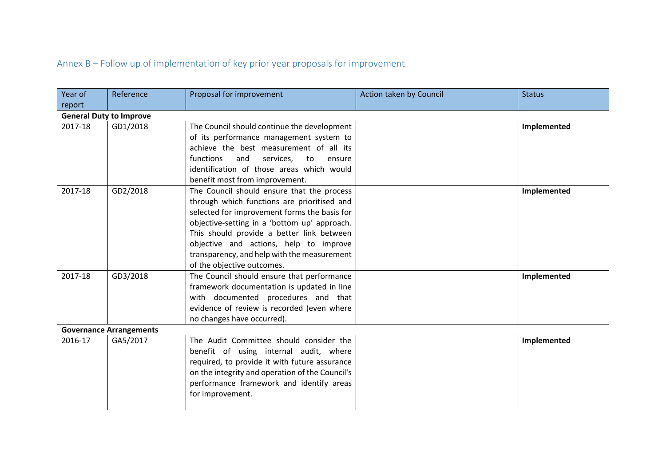# Annex B – Follow up of implementation of key prior year proposals for improvement

| Year of                        | Reference                      | Proposal for improvement                                                 | Action taken by Council | <b>Status</b> |
|--------------------------------|--------------------------------|--------------------------------------------------------------------------|-------------------------|---------------|
| report                         |                                |                                                                          |                         |               |
| <b>General Duty to Improve</b> |                                |                                                                          |                         |               |
| 2017-18                        | GD1/2018                       | The Council should continue the development                              |                         | Implemented   |
|                                |                                | of its performance management system to                                  |                         |               |
|                                |                                | achieve the best measurement of all its                                  |                         |               |
|                                |                                | functions<br>and<br>services,<br>to<br>ensure                            |                         |               |
|                                |                                | identification of those areas which would                                |                         |               |
|                                |                                | benefit most from improvement.                                           |                         |               |
| 2017-18                        | GD2/2018                       | The Council should ensure that the process                               |                         | Implemented   |
|                                |                                | through which functions are prioritised and                              |                         |               |
|                                |                                | selected for improvement forms the basis for                             |                         |               |
|                                |                                | objective-setting in a 'bottom up' approach.                             |                         |               |
|                                |                                | This should provide a better link between                                |                         |               |
|                                |                                | objective and actions, help to improve                                   |                         |               |
|                                |                                | transparency, and help with the measurement                              |                         |               |
|                                |                                | of the objective outcomes.                                               |                         |               |
| 2017-18                        | GD3/2018                       | The Council should ensure that performance                               |                         | Implemented   |
|                                |                                | framework documentation is updated in line                               |                         |               |
|                                |                                | with documented procedures and that                                      |                         |               |
|                                |                                | evidence of review is recorded (even where<br>no changes have occurred). |                         |               |
|                                | <b>Governance Arrangements</b> |                                                                          |                         |               |
| 2016-17                        | GA5/2017                       | The Audit Committee should consider the                                  |                         | Implemented   |
|                                |                                | benefit of using internal audit, where                                   |                         |               |
|                                |                                | required, to provide it with future assurance                            |                         |               |
|                                |                                | on the integrity and operation of the Council's                          |                         |               |
|                                |                                | performance framework and identify areas                                 |                         |               |
|                                |                                | for improvement.                                                         |                         |               |
|                                |                                |                                                                          |                         |               |
|                                |                                |                                                                          |                         |               |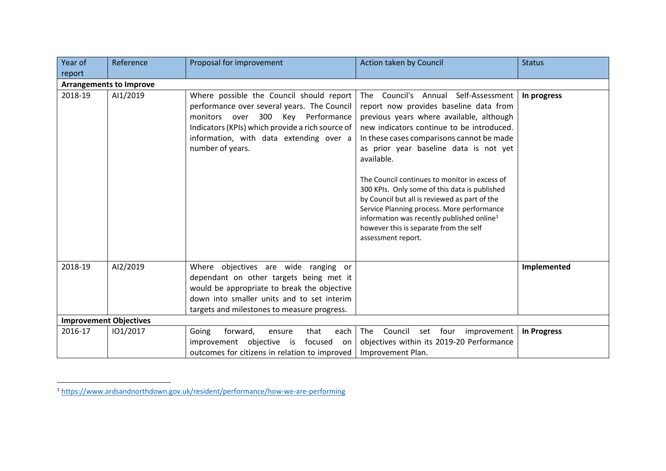| Year of                       | Reference                      | Proposal for improvement                                                                                                                                                                                                                        | Action taken by Council                                                                                                                                                                                                                                                                                                                                                                                                                                                                                                                                                                                 | <b>Status</b> |
|-------------------------------|--------------------------------|-------------------------------------------------------------------------------------------------------------------------------------------------------------------------------------------------------------------------------------------------|---------------------------------------------------------------------------------------------------------------------------------------------------------------------------------------------------------------------------------------------------------------------------------------------------------------------------------------------------------------------------------------------------------------------------------------------------------------------------------------------------------------------------------------------------------------------------------------------------------|---------------|
| report                        | <b>Arrangements to Improve</b> |                                                                                                                                                                                                                                                 |                                                                                                                                                                                                                                                                                                                                                                                                                                                                                                                                                                                                         |               |
| 2018-19                       | AI1/2019                       | Where possible the Council should report<br>performance over several years. The Council<br>monitors over 300 Key Performance<br>Indicators (KPIs) which provide a rich source of<br>information, with data extending over a<br>number of years. | The Council's Annual Self-Assessment<br>report now provides baseline data from<br>previous years where available, although<br>new indicators continue to be introduced.<br>In these cases comparisons cannot be made<br>as prior year baseline data is not yet<br>available.<br>The Council continues to monitor in excess of<br>300 KPIs. Only some of this data is published<br>by Council but all is reviewed as part of the<br>Service Planning process. More performance<br>information was recently published online <sup>1</sup><br>however this is separate from the self<br>assessment report. | In progress   |
| 2018-19                       | AI2/2019                       | Where objectives are wide ranging or<br>dependant on other targets being met it<br>would be appropriate to break the objective<br>down into smaller units and to set interim<br>targets and milestones to measure progress.                     |                                                                                                                                                                                                                                                                                                                                                                                                                                                                                                                                                                                                         | Implemented   |
| <b>Improvement Objectives</b> |                                |                                                                                                                                                                                                                                                 |                                                                                                                                                                                                                                                                                                                                                                                                                                                                                                                                                                                                         |               |
| 2016-17                       | 101/2017                       | Going<br>forward,<br>that<br>each<br>ensure<br>improvement objective is<br>focused<br>on on<br>outcomes for citizens in relation to improved                                                                                                    | The<br>Council set four<br>improvement<br>objectives within its 2019-20 Performance<br>Improvement Plan.                                                                                                                                                                                                                                                                                                                                                                                                                                                                                                | In Progress   |

<sup>1</sup> https://www.ardsandnorthdown.gov.uk/resident/performance/how‐we‐are‐performing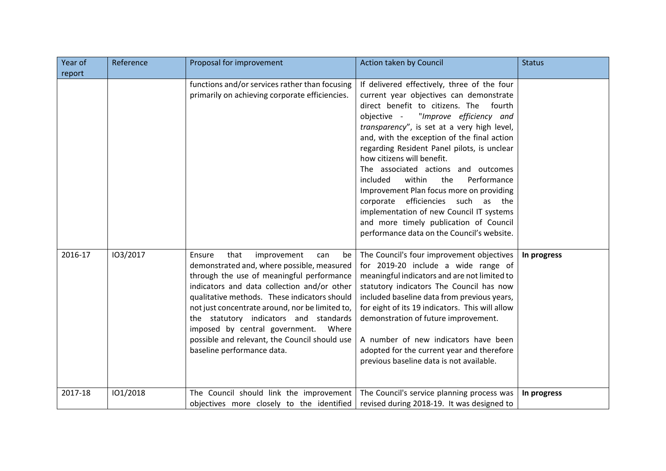| Year of | Reference | Proposal for improvement                                                                                                                                                                                                                                                                                                                                                                                                                                    | Action taken by Council                                                                                                                                                                                                                                                                                                                                                                                                                                                                                                                                                                                                                                           | <b>Status</b> |
|---------|-----------|-------------------------------------------------------------------------------------------------------------------------------------------------------------------------------------------------------------------------------------------------------------------------------------------------------------------------------------------------------------------------------------------------------------------------------------------------------------|-------------------------------------------------------------------------------------------------------------------------------------------------------------------------------------------------------------------------------------------------------------------------------------------------------------------------------------------------------------------------------------------------------------------------------------------------------------------------------------------------------------------------------------------------------------------------------------------------------------------------------------------------------------------|---------------|
| report  |           |                                                                                                                                                                                                                                                                                                                                                                                                                                                             |                                                                                                                                                                                                                                                                                                                                                                                                                                                                                                                                                                                                                                                                   |               |
|         |           | functions and/or services rather than focusing<br>primarily on achieving corporate efficiencies.                                                                                                                                                                                                                                                                                                                                                            | If delivered effectively, three of the four<br>current year objectives can demonstrate<br>direct benefit to citizens. The<br>fourth<br>"Improve efficiency and<br>objective -<br>transparency", is set at a very high level,<br>and, with the exception of the final action<br>regarding Resident Panel pilots, is unclear<br>how citizens will benefit.<br>The associated actions and outcomes<br>within<br>the<br>Performance<br>included<br>Improvement Plan focus more on providing<br>corporate efficiencies such as the<br>implementation of new Council IT systems<br>and more timely publication of Council<br>performance data on the Council's website. |               |
| 2016-17 | 103/2017  | that<br>improvement<br>Ensure<br>can<br>be<br>demonstrated and, where possible, measured<br>through the use of meaningful performance<br>indicators and data collection and/or other<br>qualitative methods. These indicators should<br>not just concentrate around, nor be limited to,<br>the statutory indicators and standards<br>imposed by central government.<br>Where<br>possible and relevant, the Council should use<br>baseline performance data. | The Council's four improvement objectives<br>for 2019-20 include a wide range of<br>meaningful indicators and are not limited to<br>statutory indicators The Council has now<br>included baseline data from previous years,<br>for eight of its 19 indicators. This will allow<br>demonstration of future improvement.<br>A number of new indicators have been<br>adopted for the current year and therefore<br>previous baseline data is not available.                                                                                                                                                                                                          | In progress   |
| 2017-18 | 101/2018  | The Council should link the improvement<br>objectives more closely to the identified                                                                                                                                                                                                                                                                                                                                                                        | The Council's service planning process was<br>revised during 2018-19. It was designed to                                                                                                                                                                                                                                                                                                                                                                                                                                                                                                                                                                          | In progress   |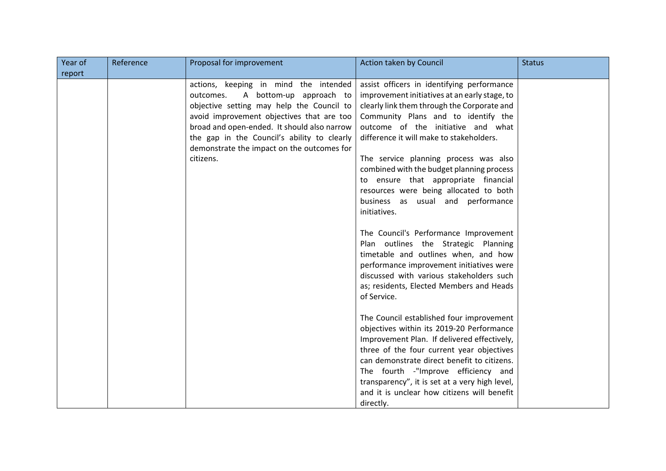| Year of | Reference | Proposal for improvement                    | Action taken by Council                                                       | <b>Status</b> |
|---------|-----------|---------------------------------------------|-------------------------------------------------------------------------------|---------------|
| report  |           |                                             |                                                                               |               |
|         |           | actions, keeping in mind the intended       | assist officers in identifying performance                                    |               |
|         |           | A bottom-up approach to<br>outcomes.        | improvement initiatives at an early stage, to                                 |               |
|         |           | objective setting may help the Council to   | clearly link them through the Corporate and                                   |               |
|         |           | avoid improvement objectives that are too   | Community Plans and to identify the                                           |               |
|         |           | broad and open-ended. It should also narrow | outcome of the initiative and what                                            |               |
|         |           | the gap in the Council's ability to clearly | difference it will make to stakeholders.                                      |               |
|         |           | demonstrate the impact on the outcomes for  |                                                                               |               |
|         |           | citizens.                                   | The service planning process was also                                         |               |
|         |           |                                             | combined with the budget planning process                                     |               |
|         |           |                                             | to ensure that appropriate financial                                          |               |
|         |           |                                             | resources were being allocated to both                                        |               |
|         |           |                                             | business as usual and performance                                             |               |
|         |           |                                             | initiatives.                                                                  |               |
|         |           |                                             |                                                                               |               |
|         |           |                                             | The Council's Performance Improvement<br>Plan outlines the Strategic Planning |               |
|         |           |                                             | timetable and outlines when, and how                                          |               |
|         |           |                                             | performance improvement initiatives were                                      |               |
|         |           |                                             | discussed with various stakeholders such                                      |               |
|         |           |                                             | as; residents, Elected Members and Heads                                      |               |
|         |           |                                             | of Service.                                                                   |               |
|         |           |                                             |                                                                               |               |
|         |           |                                             | The Council established four improvement                                      |               |
|         |           |                                             | objectives within its 2019-20 Performance                                     |               |
|         |           |                                             | Improvement Plan. If delivered effectively,                                   |               |
|         |           |                                             | three of the four current year objectives                                     |               |
|         |           |                                             | can demonstrate direct benefit to citizens.                                   |               |
|         |           |                                             | The fourth -"Improve efficiency and                                           |               |
|         |           |                                             | transparency", it is set at a very high level,                                |               |
|         |           |                                             | and it is unclear how citizens will benefit                                   |               |
|         |           |                                             | directly.                                                                     |               |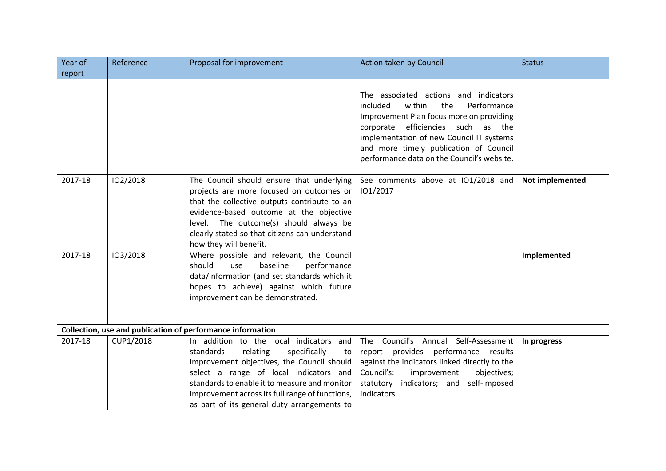| Year of | Reference | Proposal for improvement                                                                                                                                                                                                                                                                                                          | Action taken by Council                                                                                                                                                                                                                                                                                 | <b>Status</b>   |
|---------|-----------|-----------------------------------------------------------------------------------------------------------------------------------------------------------------------------------------------------------------------------------------------------------------------------------------------------------------------------------|---------------------------------------------------------------------------------------------------------------------------------------------------------------------------------------------------------------------------------------------------------------------------------------------------------|-----------------|
| report  |           |                                                                                                                                                                                                                                                                                                                                   |                                                                                                                                                                                                                                                                                                         |                 |
|         |           |                                                                                                                                                                                                                                                                                                                                   | The associated actions and indicators<br>within<br>the<br>Performance<br>included<br>Improvement Plan focus more on providing<br>corporate efficiencies such as the<br>implementation of new Council IT systems<br>and more timely publication of Council<br>performance data on the Council's website. |                 |
| 2017-18 | 102/2018  | The Council should ensure that underlying<br>projects are more focused on outcomes or<br>that the collective outputs contribute to an<br>evidence-based outcome at the objective<br>level. The outcome(s) should always be<br>clearly stated so that citizens can understand<br>how they will benefit.                            | See comments above at IO1/2018 and<br>101/2017                                                                                                                                                                                                                                                          | Not implemented |
| 2017-18 | 103/2018  | Where possible and relevant, the Council<br>should<br>baseline<br>use<br>performance<br>data/information (and set standards which it<br>hopes to achieve) against which future<br>improvement can be demonstrated.                                                                                                                |                                                                                                                                                                                                                                                                                                         | Implemented     |
|         |           | Collection, use and publication of performance information                                                                                                                                                                                                                                                                        |                                                                                                                                                                                                                                                                                                         |                 |
| 2017-18 | CUP1/2018 | In addition to the local indicators and<br>standards<br>relating<br>specifically<br>to<br>improvement objectives, the Council should<br>select a range of local indicators and<br>standards to enable it to measure and monitor<br>improvement across its full range of functions,<br>as part of its general duty arrangements to | The Council's Annual Self-Assessment<br>report provides performance results<br>against the indicators linked directly to the<br>Council's:<br>improvement<br>objectives;<br>statutory indicators; and self-imposed<br>indicators.                                                                       | In progress     |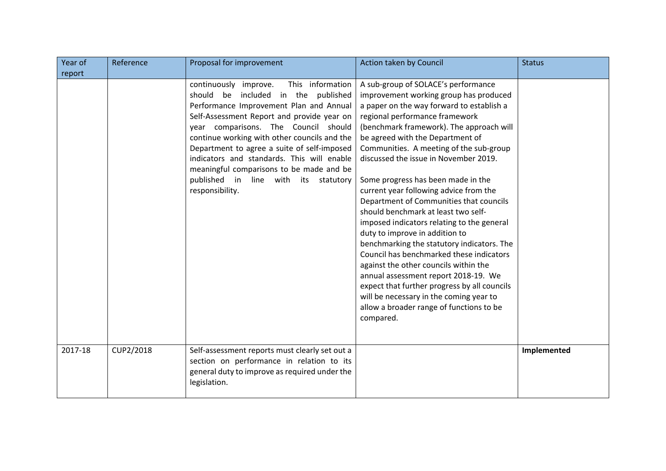| Year of | Reference | Proposal for improvement                                                                                                                                                                                                                                                                                                                                                                                                                                                 | Action taken by Council                                                                                                                                                                                                                                                                                                                                                                                                                                                                                                                                                                                                                                                                                                                                                                                                                                                                                           | <b>Status</b> |
|---------|-----------|--------------------------------------------------------------------------------------------------------------------------------------------------------------------------------------------------------------------------------------------------------------------------------------------------------------------------------------------------------------------------------------------------------------------------------------------------------------------------|-------------------------------------------------------------------------------------------------------------------------------------------------------------------------------------------------------------------------------------------------------------------------------------------------------------------------------------------------------------------------------------------------------------------------------------------------------------------------------------------------------------------------------------------------------------------------------------------------------------------------------------------------------------------------------------------------------------------------------------------------------------------------------------------------------------------------------------------------------------------------------------------------------------------|---------------|
| report  |           |                                                                                                                                                                                                                                                                                                                                                                                                                                                                          |                                                                                                                                                                                                                                                                                                                                                                                                                                                                                                                                                                                                                                                                                                                                                                                                                                                                                                                   |               |
|         |           | This information<br>continuously improve.<br>should be included in the<br>published<br>Performance Improvement Plan and Annual<br>Self-Assessment Report and provide year on<br>year comparisons. The Council should<br>continue working with other councils and the<br>Department to agree a suite of self-imposed<br>indicators and standards. This will enable<br>meaningful comparisons to be made and be<br>published in line with its statutory<br>responsibility. | A sub-group of SOLACE's performance<br>improvement working group has produced<br>a paper on the way forward to establish a<br>regional performance framework<br>(benchmark framework). The approach will<br>be agreed with the Department of<br>Communities. A meeting of the sub-group<br>discussed the issue in November 2019.<br>Some progress has been made in the<br>current year following advice from the<br>Department of Communities that councils<br>should benchmark at least two self-<br>imposed indicators relating to the general<br>duty to improve in addition to<br>benchmarking the statutory indicators. The<br>Council has benchmarked these indicators<br>against the other councils within the<br>annual assessment report 2018-19. We<br>expect that further progress by all councils<br>will be necessary in the coming year to<br>allow a broader range of functions to be<br>compared. |               |
| 2017-18 | CUP2/2018 | Self-assessment reports must clearly set out a<br>section on performance in relation to its<br>general duty to improve as required under the<br>legislation.                                                                                                                                                                                                                                                                                                             |                                                                                                                                                                                                                                                                                                                                                                                                                                                                                                                                                                                                                                                                                                                                                                                                                                                                                                                   | Implemented   |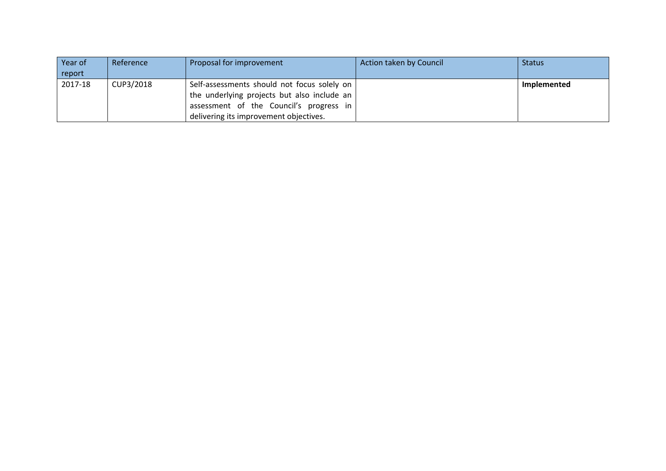| Year of | Reference | Proposal for improvement                        | Action taken by Council | <b>Status</b> |
|---------|-----------|-------------------------------------------------|-------------------------|---------------|
| report  |           |                                                 |                         |               |
| 2017-18 | CUP3/2018 | Self-assessments should not focus solely on     |                         | Implemented   |
|         |           | the underlying projects but also include an $ $ |                         |               |
|         |           | assessment of the Council's progress in         |                         |               |
|         |           | delivering its improvement objectives.          |                         |               |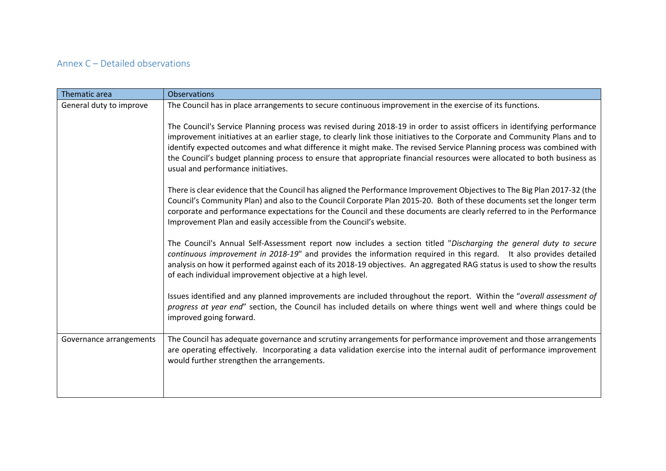### Annex C – Detailed observations

| Thematic area           | <b>Observations</b>                                                                                                                                                                                                                                                                                                                                                                                                                                                                                                                             |
|-------------------------|-------------------------------------------------------------------------------------------------------------------------------------------------------------------------------------------------------------------------------------------------------------------------------------------------------------------------------------------------------------------------------------------------------------------------------------------------------------------------------------------------------------------------------------------------|
| General duty to improve | The Council has in place arrangements to secure continuous improvement in the exercise of its functions.                                                                                                                                                                                                                                                                                                                                                                                                                                        |
|                         | The Council's Service Planning process was revised during 2018-19 in order to assist officers in identifying performance<br>improvement initiatives at an earlier stage, to clearly link those initiatives to the Corporate and Community Plans and to<br>identify expected outcomes and what difference it might make. The revised Service Planning process was combined with<br>the Council's budget planning process to ensure that appropriate financial resources were allocated to both business as<br>usual and performance initiatives. |
|                         | There is clear evidence that the Council has aligned the Performance Improvement Objectives to The Big Plan 2017-32 (the<br>Council's Community Plan) and also to the Council Corporate Plan 2015-20. Both of these documents set the longer term<br>corporate and performance expectations for the Council and these documents are clearly referred to in the Performance<br>Improvement Plan and easily accessible from the Council's website.                                                                                                |
|                         | The Council's Annual Self-Assessment report now includes a section titled "Discharging the general duty to secure<br>continuous improvement in 2018-19" and provides the information required in this regard. It also provides detailed<br>analysis on how it performed against each of its 2018-19 objectives. An aggregated RAG status is used to show the results<br>of each individual improvement objective at a high level.                                                                                                               |
|                         | Issues identified and any planned improvements are included throughout the report. Within the "overall assessment of<br>progress at year end" section, the Council has included details on where things went well and where things could be<br>improved going forward.                                                                                                                                                                                                                                                                          |
| Governance arrangements | The Council has adequate governance and scrutiny arrangements for performance improvement and those arrangements<br>are operating effectively. Incorporating a data validation exercise into the internal audit of performance improvement<br>would further strengthen the arrangements.                                                                                                                                                                                                                                                        |
|                         |                                                                                                                                                                                                                                                                                                                                                                                                                                                                                                                                                 |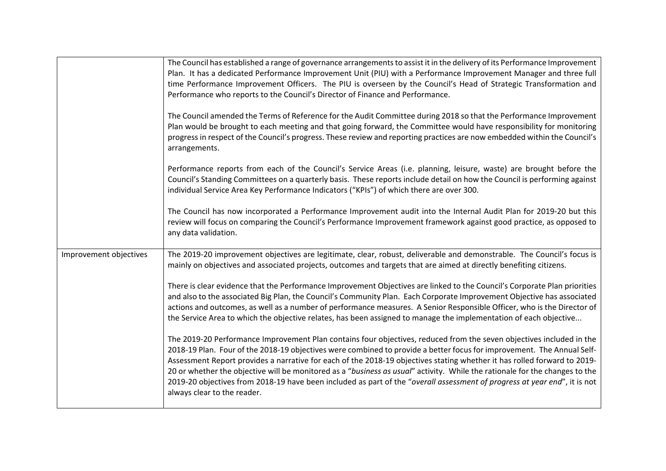|                        | The Council has established a range of governance arrangements to assist it in the delivery of its Performance Improvement<br>Plan. It has a dedicated Performance Improvement Unit (PIU) with a Performance Improvement Manager and three full<br>time Performance Improvement Officers. The PIU is overseen by the Council's Head of Strategic Transformation and<br>Performance who reports to the Council's Director of Finance and Performance.                                                                                                                                                                                                                  |
|------------------------|-----------------------------------------------------------------------------------------------------------------------------------------------------------------------------------------------------------------------------------------------------------------------------------------------------------------------------------------------------------------------------------------------------------------------------------------------------------------------------------------------------------------------------------------------------------------------------------------------------------------------------------------------------------------------|
|                        | The Council amended the Terms of Reference for the Audit Committee during 2018 so that the Performance Improvement<br>Plan would be brought to each meeting and that going forward, the Committee would have responsibility for monitoring<br>progress in respect of the Council's progress. These review and reporting practices are now embedded within the Council's<br>arrangements.                                                                                                                                                                                                                                                                              |
|                        | Performance reports from each of the Council's Service Areas (i.e. planning, leisure, waste) are brought before the<br>Council's Standing Committees on a quarterly basis. These reports include detail on how the Council is performing against<br>individual Service Area Key Performance Indicators ("KPIs") of which there are over 300.                                                                                                                                                                                                                                                                                                                          |
|                        | The Council has now incorporated a Performance Improvement audit into the Internal Audit Plan for 2019-20 but this<br>review will focus on comparing the Council's Performance Improvement framework against good practice, as opposed to<br>any data validation.                                                                                                                                                                                                                                                                                                                                                                                                     |
| Improvement objectives | The 2019-20 improvement objectives are legitimate, clear, robust, deliverable and demonstrable. The Council's focus is<br>mainly on objectives and associated projects, outcomes and targets that are aimed at directly benefiting citizens.                                                                                                                                                                                                                                                                                                                                                                                                                          |
|                        | There is clear evidence that the Performance Improvement Objectives are linked to the Council's Corporate Plan priorities<br>and also to the associated Big Plan, the Council's Community Plan. Each Corporate Improvement Objective has associated<br>actions and outcomes, as well as a number of performance measures. A Senior Responsible Officer, who is the Director of<br>the Service Area to which the objective relates, has been assigned to manage the implementation of each objective                                                                                                                                                                   |
|                        | The 2019-20 Performance Improvement Plan contains four objectives, reduced from the seven objectives included in the<br>2018-19 Plan. Four of the 2018-19 objectives were combined to provide a better focus for improvement. The Annual Self-<br>Assessment Report provides a narrative for each of the 2018-19 objectives stating whether it has rolled forward to 2019-<br>20 or whether the objective will be monitored as a "business as usual" activity. While the rationale for the changes to the<br>2019-20 objectives from 2018-19 have been included as part of the "overall assessment of progress at year end", it is not<br>always clear to the reader. |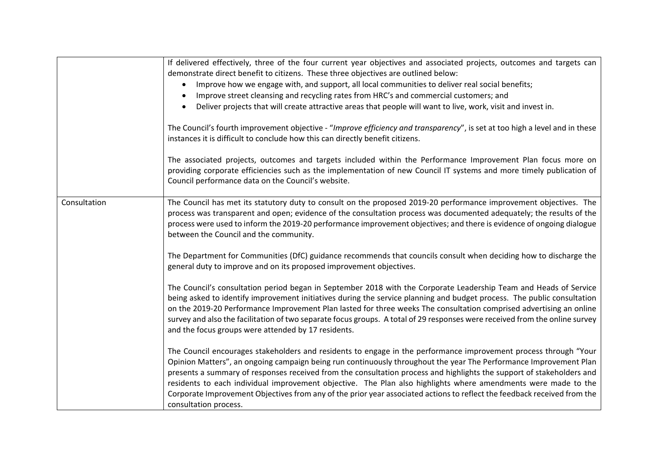|              | If delivered effectively, three of the four current year objectives and associated projects, outcomes and targets can<br>demonstrate direct benefit to citizens. These three objectives are outlined below:<br>Improve how we engage with, and support, all local communities to deliver real social benefits;<br>Improve street cleansing and recycling rates from HRC's and commercial customers; and<br>Deliver projects that will create attractive areas that people will want to live, work, visit and invest in.<br>The Council's fourth improvement objective - "Improve efficiency and transparency", is set at too high a level and in these<br>instances it is difficult to conclude how this can directly benefit citizens.<br>The associated projects, outcomes and targets included within the Performance Improvement Plan focus more on<br>providing corporate efficiencies such as the implementation of new Council IT systems and more timely publication of<br>Council performance data on the Council's website. |
|--------------|---------------------------------------------------------------------------------------------------------------------------------------------------------------------------------------------------------------------------------------------------------------------------------------------------------------------------------------------------------------------------------------------------------------------------------------------------------------------------------------------------------------------------------------------------------------------------------------------------------------------------------------------------------------------------------------------------------------------------------------------------------------------------------------------------------------------------------------------------------------------------------------------------------------------------------------------------------------------------------------------------------------------------------------|
| Consultation | The Council has met its statutory duty to consult on the proposed 2019-20 performance improvement objectives. The<br>process was transparent and open; evidence of the consultation process was documented adequately; the results of the<br>process were used to inform the 2019-20 performance improvement objectives; and there is evidence of ongoing dialogue<br>between the Council and the community.<br>The Department for Communities (DfC) guidance recommends that councils consult when deciding how to discharge the<br>general duty to improve and on its proposed improvement objectives.                                                                                                                                                                                                                                                                                                                                                                                                                              |
|              | The Council's consultation period began in September 2018 with the Corporate Leadership Team and Heads of Service<br>being asked to identify improvement initiatives during the service planning and budget process. The public consultation<br>on the 2019-20 Performance Improvement Plan lasted for three weeks The consultation comprised advertising an online<br>survey and also the facilitation of two separate focus groups. A total of 29 responses were received from the online survey<br>and the focus groups were attended by 17 residents.                                                                                                                                                                                                                                                                                                                                                                                                                                                                             |
|              | The Council encourages stakeholders and residents to engage in the performance improvement process through "Your<br>Opinion Matters", an ongoing campaign being run continuously throughout the year The Performance Improvement Plan<br>presents a summary of responses received from the consultation process and highlights the support of stakeholders and<br>residents to each individual improvement objective. The Plan also highlights where amendments were made to the<br>Corporate Improvement Objectives from any of the prior year associated actions to reflect the feedback received from the<br>consultation process.                                                                                                                                                                                                                                                                                                                                                                                                 |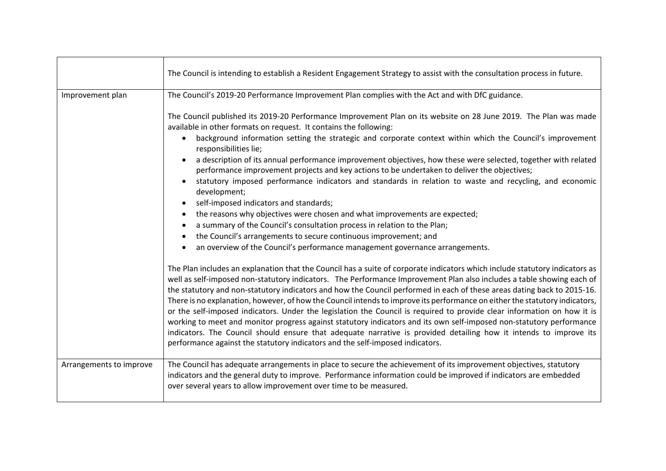|                         | The Council is intending to establish a Resident Engagement Strategy to assist with the consultation process in future.                                                                                                                                                                                                                                                                                                                                                                                                                                                                                                                                                                                                                                                                                                                                                                                                                                                                                                                                                 |
|-------------------------|-------------------------------------------------------------------------------------------------------------------------------------------------------------------------------------------------------------------------------------------------------------------------------------------------------------------------------------------------------------------------------------------------------------------------------------------------------------------------------------------------------------------------------------------------------------------------------------------------------------------------------------------------------------------------------------------------------------------------------------------------------------------------------------------------------------------------------------------------------------------------------------------------------------------------------------------------------------------------------------------------------------------------------------------------------------------------|
| Improvement plan        | The Council's 2019-20 Performance Improvement Plan complies with the Act and with DfC guidance.                                                                                                                                                                                                                                                                                                                                                                                                                                                                                                                                                                                                                                                                                                                                                                                                                                                                                                                                                                         |
|                         | The Council published its 2019-20 Performance Improvement Plan on its website on 28 June 2019. The Plan was made<br>available in other formats on request. It contains the following:<br>background information setting the strategic and corporate context within which the Council's improvement<br>$\bullet$<br>responsibilities lie;<br>a description of its annual performance improvement objectives, how these were selected, together with related<br>performance improvement projects and key actions to be undertaken to deliver the objectives;<br>statutory imposed performance indicators and standards in relation to waste and recycling, and economic<br>development;<br>self-imposed indicators and standards;<br>the reasons why objectives were chosen and what improvements are expected;<br>$\bullet$<br>a summary of the Council's consultation process in relation to the Plan;<br>$\bullet$<br>the Council's arrangements to secure continuous improvement; and<br>an overview of the Council's performance management governance arrangements. |
|                         | The Plan includes an explanation that the Council has a suite of corporate indicators which include statutory indicators as<br>well as self-imposed non-statutory indicators. The Performance Improvement Plan also includes a table showing each of<br>the statutory and non-statutory indicators and how the Council performed in each of these areas dating back to 2015-16.<br>There is no explanation, however, of how the Council intends to improve its performance on either the statutory indicators,<br>or the self-imposed indicators. Under the legislation the Council is required to provide clear information on how it is<br>working to meet and monitor progress against statutory indicators and its own self-imposed non-statutory performance<br>indicators. The Council should ensure that adequate narrative is provided detailing how it intends to improve its<br>performance against the statutory indicators and the self-imposed indicators.                                                                                                 |
| Arrangements to improve | The Council has adequate arrangements in place to secure the achievement of its improvement objectives, statutory<br>indicators and the general duty to improve. Performance information could be improved if indicators are embedded<br>over several years to allow improvement over time to be measured.                                                                                                                                                                                                                                                                                                                                                                                                                                                                                                                                                                                                                                                                                                                                                              |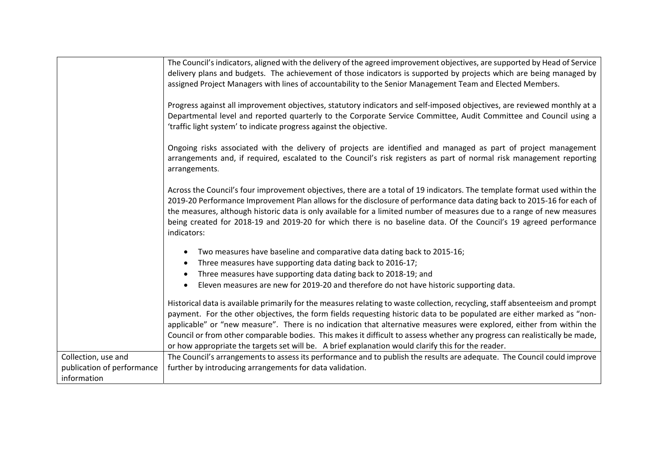|                            | The Council's indicators, aligned with the delivery of the agreed improvement objectives, are supported by Head of Service<br>delivery plans and budgets. The achievement of those indicators is supported by projects which are being managed by                                                                                                                                                                                                                                                                                                                                                                   |
|----------------------------|---------------------------------------------------------------------------------------------------------------------------------------------------------------------------------------------------------------------------------------------------------------------------------------------------------------------------------------------------------------------------------------------------------------------------------------------------------------------------------------------------------------------------------------------------------------------------------------------------------------------|
|                            | assigned Project Managers with lines of accountability to the Senior Management Team and Elected Members.                                                                                                                                                                                                                                                                                                                                                                                                                                                                                                           |
|                            | Progress against all improvement objectives, statutory indicators and self-imposed objectives, are reviewed monthly at a<br>Departmental level and reported quarterly to the Corporate Service Committee, Audit Committee and Council using a<br>'traffic light system' to indicate progress against the objective.                                                                                                                                                                                                                                                                                                 |
|                            | Ongoing risks associated with the delivery of projects are identified and managed as part of project management<br>arrangements and, if required, escalated to the Council's risk registers as part of normal risk management reporting<br>arrangements.                                                                                                                                                                                                                                                                                                                                                            |
|                            | Across the Council's four improvement objectives, there are a total of 19 indicators. The template format used within the<br>2019-20 Performance Improvement Plan allows for the disclosure of performance data dating back to 2015-16 for each of<br>the measures, although historic data is only available for a limited number of measures due to a range of new measures<br>being created for 2018-19 and 2019-20 for which there is no baseline data. Of the Council's 19 agreed performance<br>indicators:                                                                                                    |
|                            | Two measures have baseline and comparative data dating back to 2015-16;<br>$\bullet$                                                                                                                                                                                                                                                                                                                                                                                                                                                                                                                                |
|                            | Three measures have supporting data dating back to 2016-17;<br>$\bullet$                                                                                                                                                                                                                                                                                                                                                                                                                                                                                                                                            |
|                            | Three measures have supporting data dating back to 2018-19; and                                                                                                                                                                                                                                                                                                                                                                                                                                                                                                                                                     |
|                            | Eleven measures are new for 2019-20 and therefore do not have historic supporting data.<br>$\bullet$                                                                                                                                                                                                                                                                                                                                                                                                                                                                                                                |
|                            | Historical data is available primarily for the measures relating to waste collection, recycling, staff absenteeism and prompt<br>payment. For the other objectives, the form fields requesting historic data to be populated are either marked as "non-<br>applicable" or "new measure". There is no indication that alternative measures were explored, either from within the<br>Council or from other comparable bodies. This makes it difficult to assess whether any progress can realistically be made,<br>or how appropriate the targets set will be. A brief explanation would clarify this for the reader. |
| Collection, use and        | The Council's arrangements to assess its performance and to publish the results are adequate. The Council could improve                                                                                                                                                                                                                                                                                                                                                                                                                                                                                             |
| publication of performance | further by introducing arrangements for data validation.                                                                                                                                                                                                                                                                                                                                                                                                                                                                                                                                                            |
| information                |                                                                                                                                                                                                                                                                                                                                                                                                                                                                                                                                                                                                                     |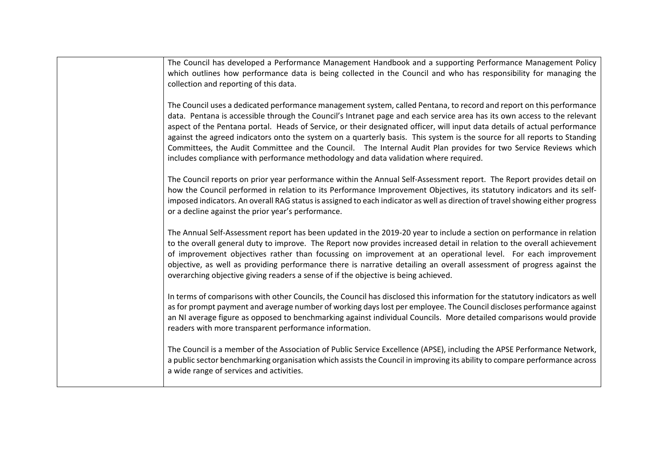| The Council has developed a Performance Management Handbook and a supporting Performance Management Policy<br>which outlines how performance data is being collected in the Council and who has responsibility for managing the<br>collection and reporting of this data.                                                                                                                                                                                                                                                                                                                                                                                                                                              |
|------------------------------------------------------------------------------------------------------------------------------------------------------------------------------------------------------------------------------------------------------------------------------------------------------------------------------------------------------------------------------------------------------------------------------------------------------------------------------------------------------------------------------------------------------------------------------------------------------------------------------------------------------------------------------------------------------------------------|
| The Council uses a dedicated performance management system, called Pentana, to record and report on this performance<br>data. Pentana is accessible through the Council's Intranet page and each service area has its own access to the relevant<br>aspect of the Pentana portal. Heads of Service, or their designated officer, will input data details of actual performance<br>against the agreed indicators onto the system on a quarterly basis. This system is the source for all reports to Standing<br>Committees, the Audit Committee and the Council. The Internal Audit Plan provides for two Service Reviews which<br>includes compliance with performance methodology and data validation where required. |
| The Council reports on prior year performance within the Annual Self-Assessment report. The Report provides detail on<br>how the Council performed in relation to its Performance Improvement Objectives, its statutory indicators and its self-<br>imposed indicators. An overall RAG status is assigned to each indicator as well as direction of travel showing either progress<br>or a decline against the prior year's performance.                                                                                                                                                                                                                                                                               |
| The Annual Self-Assessment report has been updated in the 2019-20 year to include a section on performance in relation<br>to the overall general duty to improve. The Report now provides increased detail in relation to the overall achievement<br>of improvement objectives rather than focussing on improvement at an operational level. For each improvement<br>objective, as well as providing performance there is narrative detailing an overall assessment of progress against the<br>overarching objective giving readers a sense of if the objective is being achieved.                                                                                                                                     |
| In terms of comparisons with other Councils, the Council has disclosed this information for the statutory indicators as well<br>as for prompt payment and average number of working days lost per employee. The Council discloses performance against<br>an NI average figure as opposed to benchmarking against individual Councils. More detailed comparisons would provide<br>readers with more transparent performance information.                                                                                                                                                                                                                                                                                |
| The Council is a member of the Association of Public Service Excellence (APSE), including the APSE Performance Network,<br>a public sector benchmarking organisation which assists the Council in improving its ability to compare performance across<br>a wide range of services and activities.                                                                                                                                                                                                                                                                                                                                                                                                                      |